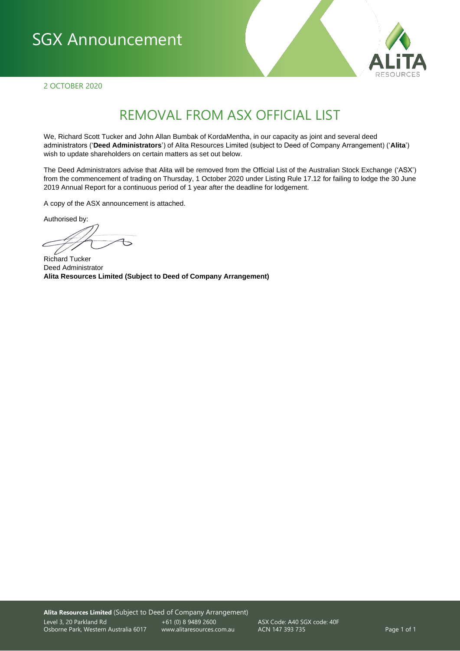## SGX Announcement



2 OCTOBER 2020

### REMOVAL FROM ASX OFFICIAL LIST

We, Richard Scott Tucker and John Allan Bumbak of KordaMentha, in our capacity as joint and several deed administrators ('**Deed Administrators**') of Alita Resources Limited (subject to Deed of Company Arrangement) ('**Alita**') wish to update shareholders on certain matters as set out below.

The Deed Administrators advise that Alita will be removed from the Official List of the Australian Stock Exchange ('ASX') from the commencement of trading on Thursday, 1 October 2020 under Listing Rule 17.12 for failing to lodge the 30 June 2019 Annual Report for a continuous period of 1 year after the deadline for lodgement.

A copy of the ASX announcement is attached.

Authorised by:

Richard Tucker Deed Administrator **Alita Resources Limited (Subject to Deed of Company Arrangement)**